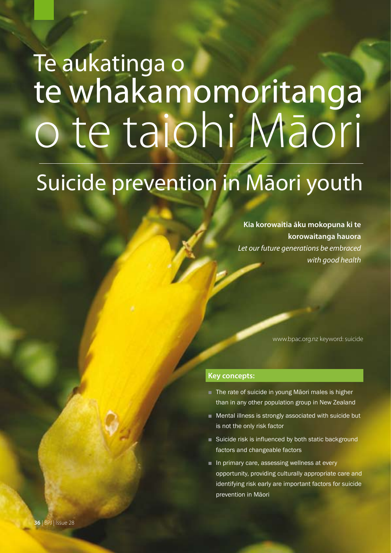# te whakamomoritanga o te taiohi Māori Te aukatinga o

## Suicide prevention in Māori youth

**Kia korowaitia āku mokopuna ki te korowaitanga hauora** *Let our future generations be embraced with good health*

www.bpac.org.nz keyword: suicide

#### **Key concepts:**

- The rate of suicide in young Māori males is higher than in any other population group in New Zealand
- Mental illness is strongly associated with suicide but is not the only risk factor
- Suicide risk is influenced by both static background factors and changeable factors
- In primary care, assessing wellness at every opportunity, providing culturally appropriate care and identifying risk early are important factors for suicide prevention in Māori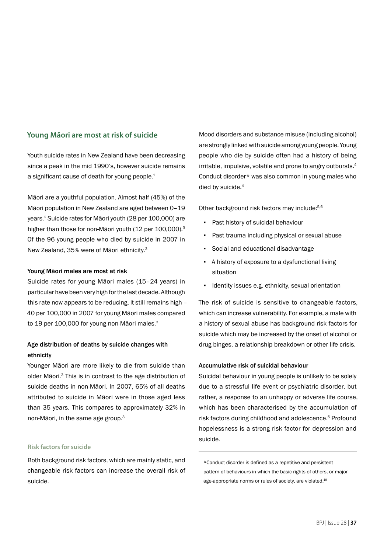#### **Young Māori are most at risk of suicide**

Youth suicide rates in New Zealand have been decreasing since a peak in the mid 1990's, however suicide remains a significant cause of death for young people.<sup>1</sup>

Māori are a youthful population. Almost half (45%) of the Māori population in New Zealand are aged between 0–19 years.2 Suicide rates for Māori youth (28 per 100,000) are higher than those for non-Māori youth (12 per 100,000).<sup>3</sup> Of the 96 young people who died by suicide in 2007 in New Zealand, 35% were of Māori ethnicity.3

#### Young Māori males are most at risk

Suicide rates for young Māori males (15–24 years) in particular have been very high for the last decade. Although this rate now appears to be reducing, it still remains high – 40 per 100,000 in 2007 for young Māori males compared to 19 per 100,000 for young non-Māori males.<sup>3</sup>

#### Age distribution of deaths by suicide changes with ethnicity

Younger Māori are more likely to die from suicide than older Māori.3 This is in contrast to the age distribution of suicide deaths in non-Māori. In 2007, 65% of all deaths attributed to suicide in Māori were in those aged less than 35 years. This compares to approximately 32% in non-Māori, in the same age group.3

#### **Risk factors for suicide**

Both background risk factors, which are mainly static, and changeable risk factors can increase the overall risk of suicide.

Mood disorders and substance misuse (including alcohol) are strongly linked with suicide among young people. Young people who die by suicide often had a history of being irritable, impulsive, volatile and prone to angry outbursts.<sup>4</sup> Conduct disorder\* was also common in young males who died by suicide.<sup>4</sup>

Other background risk factors may include:5,6

- Past history of suicidal behaviour
- Past trauma including physical or sexual abuse
- Social and educational disadvantage
- A history of exposure to a dysfunctional living situation
- Identity issues e.g. ethnicity, sexual orientation

The risk of suicide is sensitive to changeable factors, which can increase vulnerability. For example, a male with a history of sexual abuse has background risk factors for suicide which may be increased by the onset of alcohol or drug binges, a relationship breakdown or other life crisis.

#### Accumulative risk of suicidal behaviour

Suicidal behaviour in young people is unlikely to be solely due to a stressful life event or psychiatric disorder, but rather, a response to an unhappy or adverse life course, which has been characterised by the accumulation of risk factors during childhood and adolescence.5 Profound hopelessness is a strong risk factor for depression and suicide.

<sup>\*</sup>Conduct disorder is defined as a repetitive and persistent pattern of behaviours in which the basic rights of others, or major age-appropriate norms or rules of society, are violated.19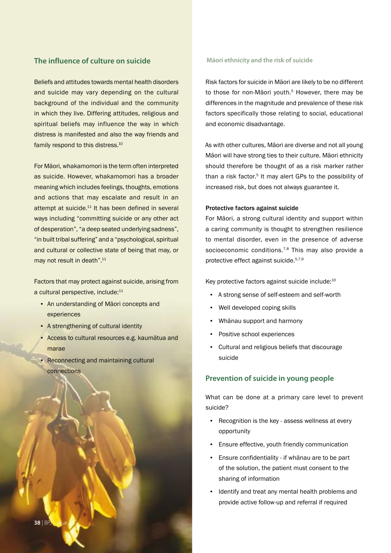#### **The influence of culture on suicide**

Beliefs and attitudes towards mental health disorders and suicide may vary depending on the cultural background of the individual and the community in which they live. Differing attitudes, religious and spiritual beliefs may influence the way in which distress is manifested and also the way friends and family respond to this distress.<sup>10</sup>

For Māori, whakamomori is the term often interpreted as suicide. However, whakamomori has a broader meaning which includes feelings, thoughts, emotions and actions that may escalate and result in an attempt at suicide.<sup>11</sup> It has been defined in several ways including "committing suicide or any other act of desperation", "a deep seated underlying sadness", "in built tribal suffering" and a "psychological, spiritual and cultural or collective state of being that may, or may not result in death".<sup>11</sup>

Factors that may protect against suicide, arising from a cultural perspective, include:<sup>11</sup>

- An understanding of Māori concepts and experiences
- **A strengthening of cultural identity**
- Access to cultural resources e.g. kaumātua and marae
- Reconnecting and maintaining cultural connections



Risk factors for suicide in Māori are likely to be no different to those for non-Māori youth.<sup>5</sup> However, there may be differences in the magnitude and prevalence of these risk factors specifically those relating to social, educational and economic disadvantage.

As with other cultures, Māori are diverse and not all young Māori will have strong ties to their culture. Māori ethnicity should therefore be thought of as a risk marker rather than a risk factor.<sup>5</sup> It may alert GPs to the possibility of increased risk, but does not always guarantee it.

#### Protective factors against suicide

For Māori, a strong cultural identity and support within a caring community is thought to strengthen resilience to mental disorder, even in the presence of adverse socioeconomic conditions.<sup>7,8</sup> This may also provide a protective effect against suicide.5,7,9

Key protective factors against suicide include:<sup>10</sup>

- A strong sense of self-esteem and self-worth
- Well developed coping skills
- Whānau support and harmony
- Positive school experiences
- Cultural and religious beliefs that discourage suicide

#### **Prevention of suicide in young people**

What can be done at a primary care level to prevent suicide?

- Recognition is the key assess wellness at every opportunity
- **Ensure effective, youth friendly communication**
- Ensure confidentiality if whānau are to be part of the solution, the patient must consent to the sharing of information
- Identify and treat any mental health problems and provide active follow-up and referral if required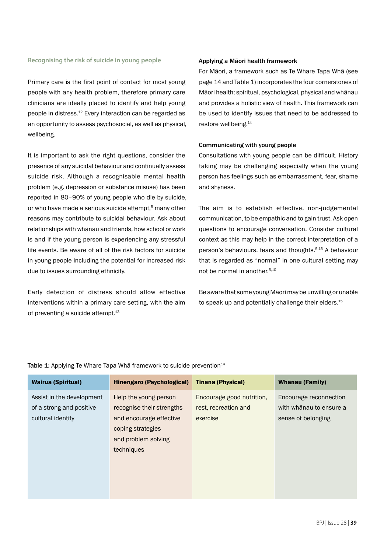#### **Recognising the risk of suicide in young people**

Primary care is the first point of contact for most young people with any health problem, therefore primary care clinicians are ideally placed to identify and help young people in distress.12 Every interaction can be regarded as an opportunity to assess psychosocial, as well as physical, wellbeing.

It is important to ask the right questions, consider the presence of any suicidal behaviour and continually assess suicide risk. Although a recognisable mental health problem (e.g. depression or substance misuse) has been reported in 80–90% of young people who die by suicide, or who have made a serious suicide attempt,<sup>5</sup> many other reasons may contribute to suicidal behaviour. Ask about relationships with whānau and friends, how school or work is and if the young person is experiencing any stressful life events. Be aware of all of the risk factors for suicide in young people including the potential for increased risk due to issues surrounding ethnicity.

Early detection of distress should allow effective interventions within a primary care setting, with the aim of preventing a suicide attempt.<sup>13</sup>

#### Applying a Māori health framework

For Māori, a framework such as Te Whare Tapa Whā (see page 14 and Table 1) incorporates the four cornerstones of Māori health; spiritual, psychological, physical and whānau and provides a holistic view of health. This framework can be used to identify issues that need to be addressed to restore wellbeing.14

#### Communicating with young people

Consultations with young people can be difficult. History taking may be challenging especially when the young person has feelings such as embarrassment, fear, shame and shyness.

The aim is to establish effective, non-judgemental communication, to be empathic and to gain trust. Ask open questions to encourage conversation. Consider cultural context as this may help in the correct interpretation of a person's behaviours, fears and thoughts.5,15 A behaviour that is regarded as "normal" in one cultural setting may not be normal in another.5,10

Be aware that some young Māori may be unwilling or unable to speak up and potentially challenge their elders.<sup>15</sup>

| <b>Wairua (Spiritual)</b>                                                  | <b>Hinengaro (Psychological)</b>                                                                                                        | <b>Tinana (Physical)</b>                                      | Whānau (Family)                                                         |
|----------------------------------------------------------------------------|-----------------------------------------------------------------------------------------------------------------------------------------|---------------------------------------------------------------|-------------------------------------------------------------------------|
| Assist in the development<br>of a strong and positive<br>cultural identity | Help the young person<br>recognise their strengths<br>and encourage effective<br>coping strategies<br>and problem solving<br>techniques | Encourage good nutrition,<br>rest, recreation and<br>exercise | Encourage reconnection<br>with whānau to ensure a<br>sense of belonging |

Table 1: Applying Te Whare Tapa Wha framework to suicide prevention $14$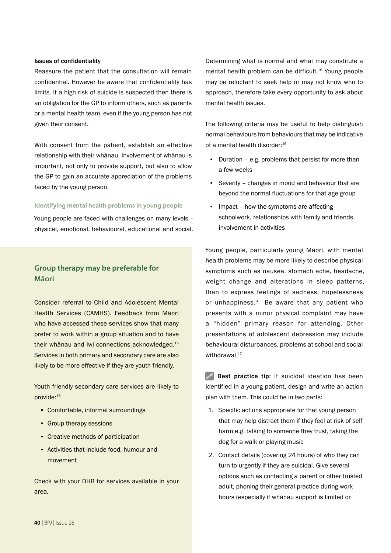#### Issues of confidentiality

Reassure the patient that the consultation will remain confidential. However be aware that confidentiality has limits. If a high risk of suicide is suspected then there is an obligation for the GP to inform others, such as parents or a mental health team, even if the young person has not given their consent.

With consent from the patient, establish an effective relationship with their whānau. Involvement of whānau is important, not only to provide support, but also to allow the GP to gain an accurate appreciation of the problems faced by the young person.

#### **Identifying mental health problems in young people**

Young people are faced with challenges on many levels – physical, emotional, behavioural, educational and social.

#### **Group therapy may be preferable for Māori**

Consider referral to Child and Adolescent Mental Health Services (CAMHS). Feedback from Māori who have accessed these services show that many prefer to work within a group situation and to have their whānau and iwi connections acknowledged.15 Services in both primary and secondary care are also likely to be more effective if they are youth friendly.

Youth friendly secondary care services are likely to provide:<sup>15</sup>

- Comfortable, informal surroundings
- **Group therapy sessions**
- Creative methods of participation
- Activities that include food, humour and movement

Check with your DHB for services available in your area.

Determining what is normal and what may constitute a mental health problem can be difficult.16 Young people may be reluctant to seek help or may not know who to approach, therefore take every opportunity to ask about mental health issues.

The following criteria may be useful to help distinguish normal behaviours from behaviours that may be indicative of a mental health disorder:<sup>16</sup>

- Duration e.g. problems that persist for more than a few weeks
- Severity changes in mood and behaviour that are beyond the normal fluctuations for that age group
- **•** Impact how the symptoms are affecting schoolwork, relationships with family and friends, involvement in activities

Young people, particularly young Māori, with mental health problems may be more likely to describe physical symptoms such as nausea, stomach ache, headache, weight change and alterations in sleep patterns, than to express feelings of sadness, hopelessness or unhappiness.<sup>9</sup> Be aware that any patient who presents with a minor physical complaint may have a "hidden" primary reason for attending. Other presentations of adolescent depression may include behavioural disturbances, problems at school and social withdrawal.<sup>17</sup>

 $\mathscr{P}$  Best practice tip: If suicidal ideation has been identified in a young patient, design and write an action plan with them. This could be in two parts:

- 1. Specific actions appropriate for that young person that may help distract them if they feel at risk of self harm e.g. talking to someone they trust, taking the dog for a walk or playing music
- 2. Contact details (covering 24 hours) of who they can turn to urgently if they are suicidal. Give several options such as contacting a parent or other trusted adult, phoning their general practice during work hours (especially if whānau support is limited or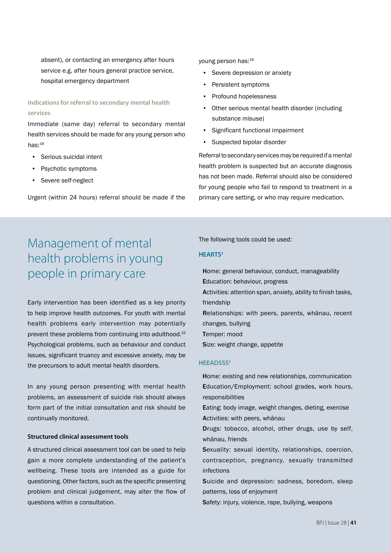absent), or contacting an emergency after hours service e.g. after hours general practice service, hospital emergency department

#### **Indications for referral to secondary mental health services**

Immediate (same day) referral to secondary mental health services should be made for any young person who has: $18$ 

- Serious suicidal intent
- Psychotic symptoms
- Severe self-neglect

Urgent (within 24 hours) referral should be made if the

#### young person has:<sup>18</sup>

- Severe depression or anxiety
- Persistent symptoms
- Profound hopelessness
- Other serious mental health disorder (including substance misuse)
- Significant functional impairment
- Suspected bipolar disorder

Referral to secondary services may be required if a mental health problem is suspected but an accurate diagnosis has not been made. Referral should also be considered for young people who fail to respond to treatment in a primary care setting, or who may require medication.

### Management of mental health problems in young people in primary care

Early intervention has been identified as a key priority to help improve health outcomes. For youth with mental health problems early intervention may potentially prevent these problems from continuing into adulthood.<sup>19</sup> Psychological problems, such as behaviour and conduct issues, significant truancy and excessive anxiety, may be the precursors to adult mental health disorders.

In any young person presenting with mental health problems, an assessment of suicide risk should always form part of the initial consultation and risk should be continually monitored.

#### **Structured clinical assessment tools**

A structured clinical assessment tool can be used to help gain a more complete understanding of the patient's wellbeing. These tools are intended as a guide for questioning. Other factors, such as the specific presenting problem and clinical judgement, may alter the flow of questions within a consultation.

The following tools could be used:

#### **HEARTS5**

Home: general behaviour, conduct, manageability Education: behaviour, progress Activities: attention span, anxiety, ability to finish tasks, friendship Relationships: with peers, parents, whānau, recent changes, bullying Temper: mood Size: weight change, appetite

#### **HEEADSSS5**

Home: existing and new relationships, communication Education/Employment: school grades, work hours, responsibilities

Eating: body image, weight changes, dieting, exercise Activities: with peers, whānau

Drugs: tobacco, alcohol, other drugs, use by self, whānau, friends

Sexuality: sexual identity, relationships, coercion, contraception, pregnancy, sexually transmitted infections

Suicide and depression: sadness, boredom, sleep patterns, loss of enjoyment

Safety: injury, violence, rape, bullying, weapons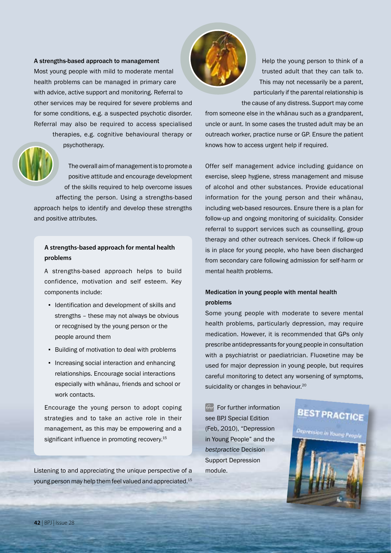A strengths-based approach to management Most young people with mild to moderate mental health problems can be managed in primary care with advice, active support and monitoring. Referral to other services may be required for severe problems and for some conditions, e.g. a suspected psychotic disorder. Referral may also be required to access specialised

therapies, e.g. cognitive behavioural therapy or psychotherapy.

The overall aim of management is to promote a positive attitude and encourage development of the skills required to help overcome issues affecting the person. Using a strengths-based approach helps to identify and develop these strengths and positive attributes.

#### **A strengths-based approach for mental health problems**

A strengths-based approach helps to build confidence, motivation and self esteem. Key components include:

- Identification and development of skills and strengths – these may not always be obvious or recognised by the young person or the people around them
- Building of motivation to deal with problems
- Increasing social interaction and enhancing relationships. Encourage social interactions especially with whānau, friends and school or work contacts.

Encourage the young person to adopt coping strategies and to take an active role in their management, as this may be empowering and a significant influence in promoting recovery.<sup>15</sup>

Listening to and appreciating the unique perspective of a young person may help them feel valued and appreciated.15



Help the young person to think of a trusted adult that they can talk to. This may not necessarily be a parent, particularly if the parental relationship is the cause of any distress. Support may come

from someone else in the whānau such as a grandparent, uncle or aunt. In some cases the trusted adult may be an outreach worker, practice nurse or GP. Ensure the patient knows how to access urgent help if required.

Offer self management advice including guidance on exercise, sleep hygiene, stress management and misuse of alcohol and other substances. Provide educational information for the young person and their whānau, including web-based resources. Ensure there is a plan for follow-up and ongoing monitoring of suicidality. Consider referral to support services such as counselling, group therapy and other outreach services. Check if follow-up is in place for young people, who have been discharged from secondary care following admission for self-harm or mental health problems.

#### Medication in young people with mental health problems

Some young people with moderate to severe mental health problems, particularly depression, may require medication. However, it is recommended that GPs only prescribe antidepressants for young people in consultation with a psychiatrist or paediatrician. Fluoxetine may be used for major depression in young people, but requires careful monitoring to detect any worsening of symptoms, suicidality or changes in behaviour.<sup>20</sup>

 $\mathbb{G}$  For further information see BPJ Special Edition (Feb, 2010), "Depression in Young People" and the *bestpractice* Decision Support Depression module.

## **BEST PRACTICE**

rression in Young Peoph